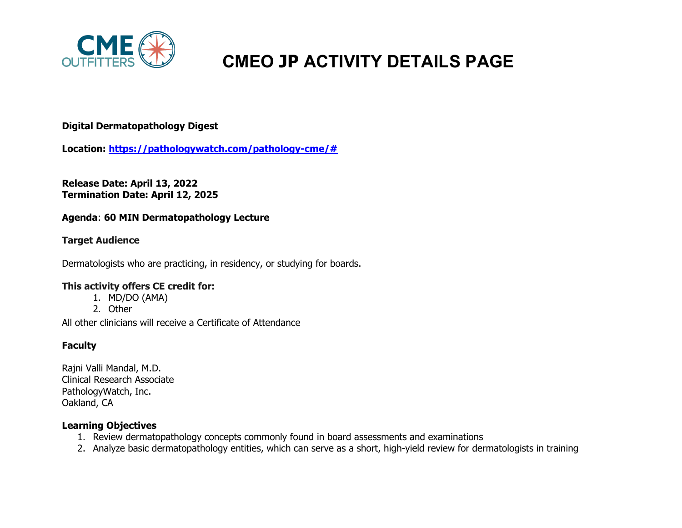

# **CMEO JP ACTIVITY DETAILS PAGE**

# **Digital Dermatopathology Digest**

**Location: [https://pathologywatch.com/pathology-cme/#](https://pathologywatch.com/pathology-cme/)**

**Release Date: April 13, 2022 Termination Date: April 12, 2025**

## **Agenda**: **60 MIN Dermatopathology Lecture**

## **Target Audience**

Dermatologists who are practicing, in residency, or studying for boards.

#### **This activity offers CE credit for:**

- 1. MD/DO (AMA)
- 2. Other

All other clinicians will receive a Certificate of Attendance

## **Faculty**

Rajni Valli Mandal, M.D. Clinical Research Associate PathologyWatch, Inc. Oakland, CA

#### **Learning Objectives**

- 1. Review dermatopathology concepts commonly found in board assessments and examinations
- 2. Analyze basic dermatopathology entities, which can serve as a short, high-yield review for dermatologists in training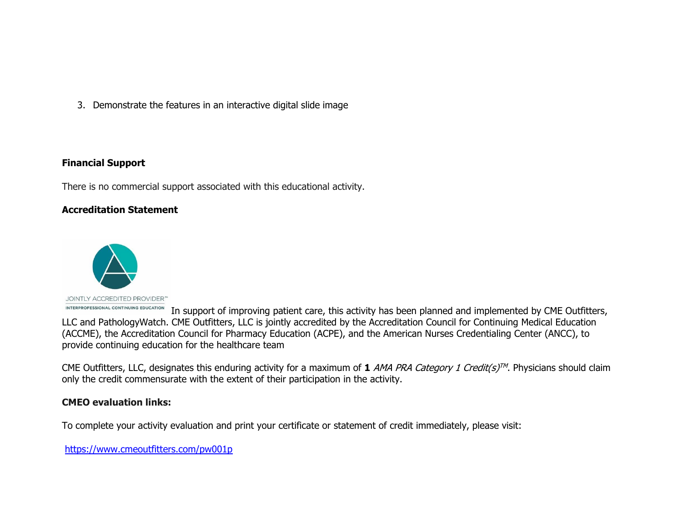3. Demonstrate the features in an interactive digital slide image

#### **Financial Support**

There is no commercial support associated with this educational activity.

#### **Accreditation Statement**



INTERPROFESSIONAL CONTINUING EDUCATION In support of improving patient care, this activity has been planned and implemented by CME Outfitters, LLC and PathologyWatch. CME Outfitters, LLC is jointly accredited by the Accreditation Council for Continuing Medical Education (ACCME), the Accreditation Council for Pharmacy Education (ACPE), and the American Nurses Credentialing Center (ANCC), to provide continuing education for the healthcare team

CME Outfitters, LLC, designates this enduring activity for a maximum of  $1$  AMA PRA Category 1 Credit(s)<sup>TM</sup>. Physicians should claim only the credit commensurate with the extent of their participation in the activity.

#### **CMEO evaluation links:**

To complete your activity evaluation and print your certificate or statement of credit immediately, please visit:

<https://www.cmeoutfitters.com/pw001p>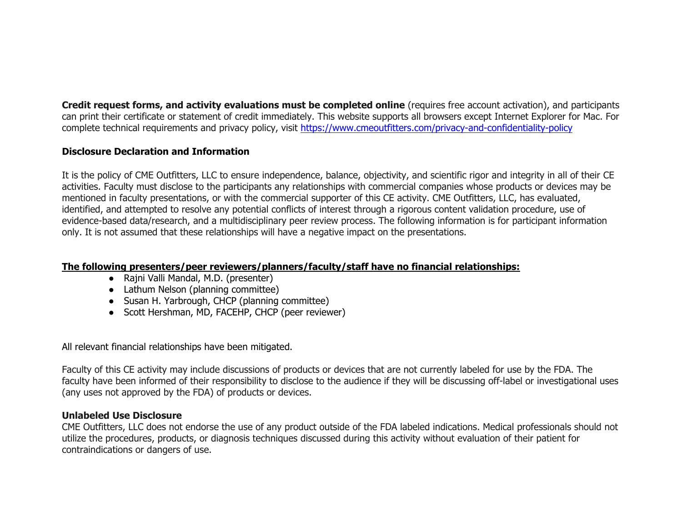**Credit request forms, and activity evaluations must be completed online** (requires free account activation), and participants can print their certificate or statement of credit immediately. This website supports all browsers except Internet Explorer for Mac. For complete technical requirements and privacy policy, visit<https://www.cmeoutfitters.com/privacy-and-confidentiality-policy>

# **Disclosure Declaration and Information**

It is the policy of CME Outfitters, LLC to ensure independence, balance, objectivity, and scientific rigor and integrity in all of their CE activities. Faculty must disclose to the participants any relationships with commercial companies whose products or devices may be mentioned in faculty presentations, or with the commercial supporter of this CE activity. CME Outfitters, LLC, has evaluated, identified, and attempted to resolve any potential conflicts of interest through a rigorous content validation procedure, use of evidence-based data/research, and a multidisciplinary peer review process. The following information is for participant information only. It is not assumed that these relationships will have a negative impact on the presentations.

#### **The following presenters/peer reviewers/planners/faculty/staff have no financial relationships:**

- Rajni Valli Mandal, M.D. (presenter)
- Lathum Nelson (planning committee)
- Susan H. Yarbrough, CHCP (planning committee)
- Scott Hershman, MD, FACEHP, CHCP (peer reviewer)

All relevant financial relationships have been mitigated.

Faculty of this CE activity may include discussions of products or devices that are not currently labeled for use by the FDA. The faculty have been informed of their responsibility to disclose to the audience if they will be discussing off-label or investigational uses (any uses not approved by the FDA) of products or devices.

#### **Unlabeled Use Disclosure**

CME Outfitters, LLC does not endorse the use of any product outside of the FDA labeled indications. Medical professionals should not utilize the procedures, products, or diagnosis techniques discussed during this activity without evaluation of their patient for contraindications or dangers of use.